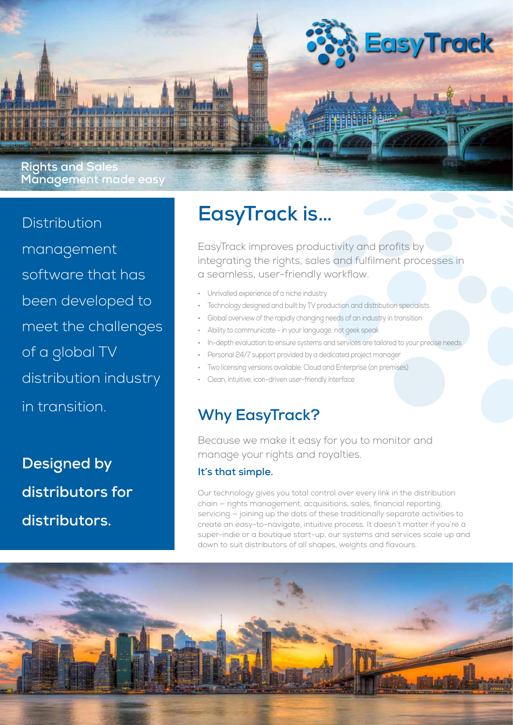

Distribution management software that has been developed to meet the challenges of a global TV distribution industry in transition.

**Designed by distributors for distributors.**

# **EasyTrack is…**

EasyTrack improves productivity and profits by integrating the rights, sales and fulfilment processes in a seamless, user-friendly workflow.

- Unrivalled experience of a niche industry
- Technology designed and built by TV production and distribution specialists
- Global overview of the rapidly changing needs of an industry in transition
- Ability to communicate in your language, not geek speak
- In-depth evaluation to ensure systems and services are tailored to your precise needs
- Personal 24/7 support provided by a dedicated project manager
- Two licensing versions available: Cloud and Enterprise (on premises)
- Clean, intuitive, icon-driven user-friendly interface

## **Why EasyTrack?**

Because we make it easy for you to monitor and manage your rights and royalties.

#### **It's that simple.**

Our technology gives you total control over every link in the distribution chain — rights management, acquisitions, sales, financial reporting, servicing — joining up the dots of these traditionally separate activities to create an easy-to-navigate, intuitive process. It doesn't matter if you're a super-indie or a boutique start-up, our systems and services scale up and down to suit distributors of all shapes, weights and flavours.